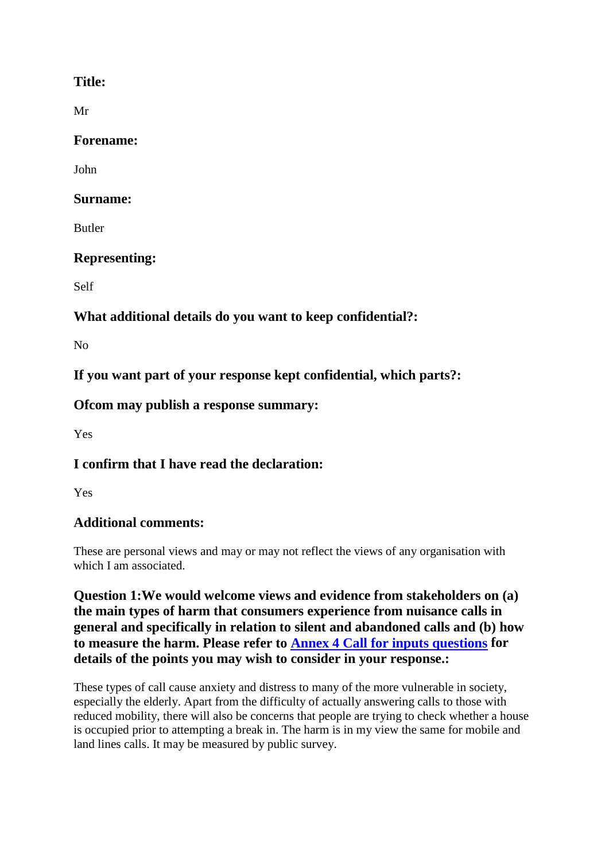#### **Title:**

Mr

#### **Forename:**

John

#### **Surname:**

Butler

# **Representing:**

Self

# **What additional details do you want to keep confidential?:**

No

**If you want part of your response kept confidential, which parts?:**

## **Ofcom may publish a response summary:**

Yes

# **I confirm that I have read the declaration:**

Yes

## **Additional comments:**

These are personal views and may or may not reflect the views of any organisation with which I am associated.

**Question 1:We would welcome views and evidence from stakeholders on (a) the main types of harm that consumers experience from nuisance calls in general and specifically in relation to silent and abandoned calls and (b) how to measure the harm. Please refer to Annex 4 Call for inputs questions for details of the points you may wish to consider in your response.:**

These types of call cause anxiety and distress to many of the more vulnerable in society, especially the elderly. Apart from the difficulty of actually answering calls to those with reduced mobility, there will also be concerns that people are trying to check whether a house is occupied prior to attempting a break in. The harm is in my view the same for mobile and land lines calls. It may be measured by public survey.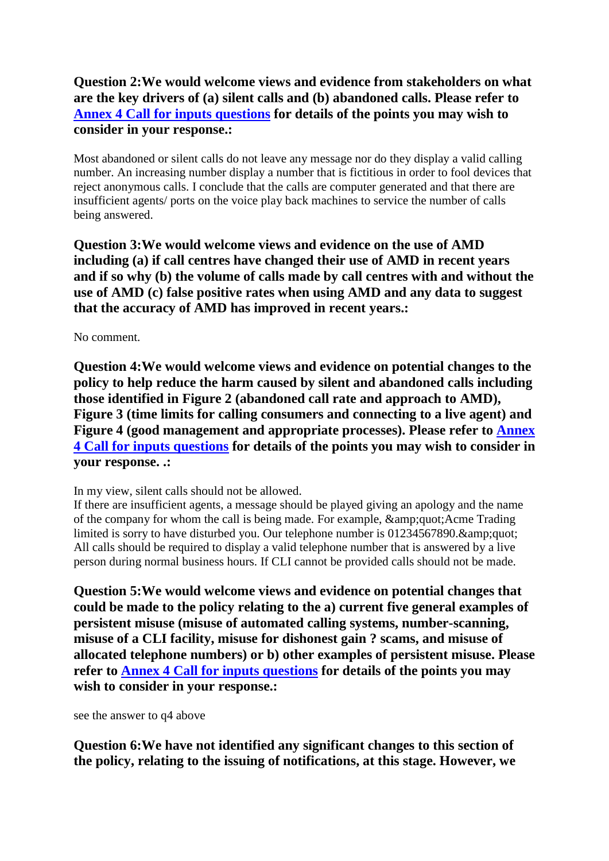## **Question 2:We would welcome views and evidence from stakeholders on what are the key drivers of (a) silent calls and (b) abandoned calls. Please refer to Annex 4 Call for inputs questions for details of the points you may wish to consider in your response.:**

Most abandoned or silent calls do not leave any message nor do they display a valid calling number. An increasing number display a number that is fictitious in order to fool devices that reject anonymous calls. I conclude that the calls are computer generated and that there are insufficient agents/ ports on the voice play back machines to service the number of calls being answered.

**Question 3:We would welcome views and evidence on the use of AMD including (a) if call centres have changed their use of AMD in recent years and if so why (b) the volume of calls made by call centres with and without the use of AMD (c) false positive rates when using AMD and any data to suggest that the accuracy of AMD has improved in recent years.:**

No comment.

**Question 4:We would welcome views and evidence on potential changes to the policy to help reduce the harm caused by silent and abandoned calls including those identified in Figure 2 (abandoned call rate and approach to AMD), Figure 3 (time limits for calling consumers and connecting to a live agent) and Figure 4 (good management and appropriate processes). Please refer to Annex 4 Call for inputs questions for details of the points you may wish to consider in your response. .:**

In my view, silent calls should not be allowed.

If there are insufficient agents, a message should be played giving an apology and the name of the company for whom the call is being made. For example,  $\"Acme$  Trading limited is sorry to have disturbed you. Our telephone number is  $01234567890$ .  $\&$ amp; quot; All calls should be required to display a valid telephone number that is answered by a live person during normal business hours. If CLI cannot be provided calls should not be made.

**Question 5:We would welcome views and evidence on potential changes that could be made to the policy relating to the a) current five general examples of persistent misuse (misuse of automated calling systems, number-scanning, misuse of a CLI facility, misuse for dishonest gain ? scams, and misuse of allocated telephone numbers) or b) other examples of persistent misuse. Please refer to Annex 4 Call for inputs questions for details of the points you may wish to consider in your response.:**

see the answer to q4 above

**Question 6:We have not identified any significant changes to this section of the policy, relating to the issuing of notifications, at this stage. However, we**